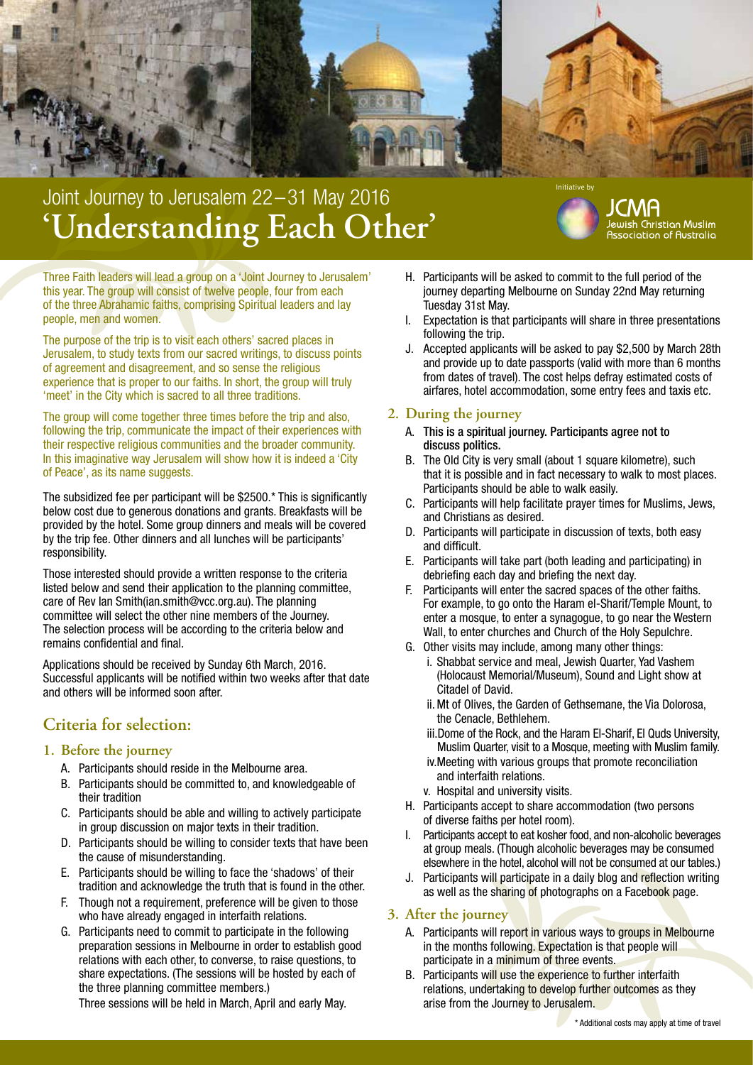

# **'Understanding Each Other'** Joint Journey to Jerusalem 22-31 May 2016



Three Faith leaders will lead a group on a 'Joint Journey to Jerusalem' this year. The group will consist of twelve people, four from each of the three Abrahamic faiths, comprising Spiritual leaders and lay people, men and women.

The purpose of the trip is to visit each others' sacred places in Jerusalem, to study texts from our sacred writings, to discuss points of agreement and disagreement, and so sense the religious experience that is proper to our faiths. In short, the group will truly 'meet' in the City which is sacred to all three traditions.

The group will come together three times before the trip and also, following the trip, communicate the impact of their experiences with their respective religious communities and the broader community. In this imaginative way Jerusalem will show how it is indeed a 'City of Peace', as its name suggests.

The subsidized fee per participant will be \$2500.\* This is significantly below cost due to generous donations and grants. Breakfasts will be provided by the hotel. Some group dinners and meals will be covered by the trip fee. Other dinners and all lunches will be participants' responsibility.

Those interested should provide a written response to the criteria listed below and send their application to the planning committee, care of Rev Ian Smith(ian.smith@vcc.org.au). The planning committee will select the other nine members of the Journey. The selection process will be according to the criteria below and remains confidential and final.

Applications should be received by Sunday 6th March, 2016. Successful applicants will be notified within two weeks after that date and others will be informed soon after.

# **Criteria for selection:**

#### **1. Before the journey**

- A. Participants should reside in the Melbourne area.
- B. Participants should be committed to, and knowledgeable of their tradition
- C. Participants should be able and willing to actively participate in group discussion on major texts in their tradition.
- D. Participants should be willing to consider texts that have been the cause of misunderstanding.
- E. Participants should be willing to face the 'shadows' of their tradition and acknowledge the truth that is found in the other.
- F. Though not a requirement, preference will be given to those who have already engaged in interfaith relations.
- G. Participants need to commit to participate in the following preparation sessions in Melbourne in order to establish good relations with each other, to converse, to raise questions, to share expectations. (The sessions will be hosted by each of the three planning committee members.)

Three sessions will be held in March, April and early May.

- H. Participants will be asked to commit to the full period of the journey departing Melbourne on Sunday 22nd May returning Tuesday 31st May.
- I. Expectation is that participants will share in three presentations following the trip.
- J. Accepted applicants will be asked to pay \$2,500 by March 28th and provide up to date passports (valid with more than 6 months from dates of travel). The cost helps defray estimated costs of airfares, hotel accommodation, some entry fees and taxis etc.

## **2. During the journey**

- A. This is a spiritual journey. Participants agree not to discuss politics.
- B. The Old City is very small (about 1 square kilometre), such that it is possible and in fact necessary to walk to most places. Participants should be able to walk easily.
- C. Participants will help facilitate prayer times for Muslims, Jews, and Christians as desired.
- D. Participants will participate in discussion of texts, both easy and difficult.
- E. Participants will take part (both leading and participating) in debriefing each day and briefing the next day.
- F. Participants will enter the sacred spaces of the other faiths. For example, to go onto the Haram el-Sharif/Temple Mount, to enter a mosque, to enter a synagogue, to go near the Western Wall, to enter churches and Church of the Holy Sepulchre.
- G. Other visits may include, among many other things:
	- i. Shabbat service and meal, Jewish Quarter, Yad Vashem (Holocaust Memorial/Museum), Sound and Light show at Citadel of David.
	- ii.Mt of Olives, the Garden of Gethsemane, the Via Dolorosa, the Cenacle, Bethlehem.
	- iii.Dome of the Rock, and the Haram El-Sharif, El Quds University, Muslim Quarter, visit to a Mosque, meeting with Muslim family.
	- iv.Meeting with various groups that promote reconciliation and interfaith relations.
	- v. Hospital and university visits.
- H. Participants accept to share accommodation (two persons of diverse faiths per hotel room).
- I. Participants accept to eat kosher food, and non-alcoholic beverages at group meals. (Though alcoholic beverages may be consumed elsewhere in the hotel, alcohol will not be consumed at our tables.)
- J. Participants will participate in a daily blog and reflection writing as well as the sharing of photographs on a Facebook page.

### **3. After the journey**

- A. Participants will report in various ways to groups in Melbourne in the months following. Expectation is that people will participate in a minimum of three events.
- B. Participants will use the experience to further interfaith relations, undertaking to develop further outcomes as they arise from the Journey to Jerusalem.